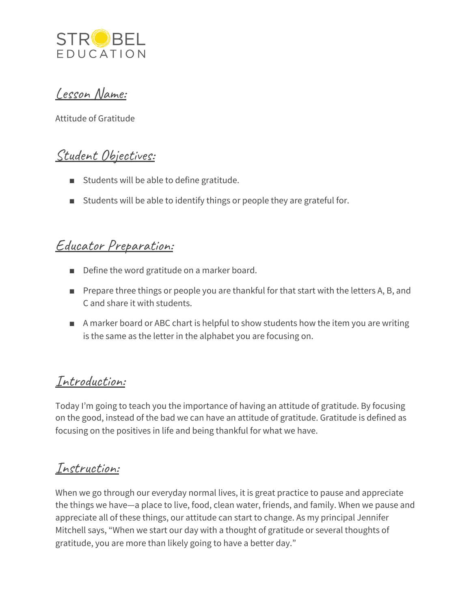

Lesson Name:

Attitude of Gratitude

# Student Objectives:

- Students will be able to define gratitude.
- Students will be able to identify things or people they are grateful for.

## Educator Preparation:

- Define the word gratitude on a marker board.
- Prepare three things or people you are thankful for that start with the letters A, B, and C and share it with students.
- A marker board or ABC chart is helpful to show students how the item you are writing is the same as the letter in the alphabet you are focusing on.

## Introduction:

Today I'm going to teach you the importance of having an attitude of gratitude. By focusing on the good, instead of the bad we can have an attitude of gratitude. Gratitude is defined as focusing on the positives in life and being thankful for what we have.

### Instruction:

When we go through our everyday normal lives, it is great practice to pause and appreciate the things we have—a place to live, food, clean water, friends, and family. When we pause and appreciate all of these things, our attitude can start to change. As my principal Jennifer Mitchell says, "When we start our day with a thought of gratitude or several thoughts of gratitude, you are more than likely going to have a better day."